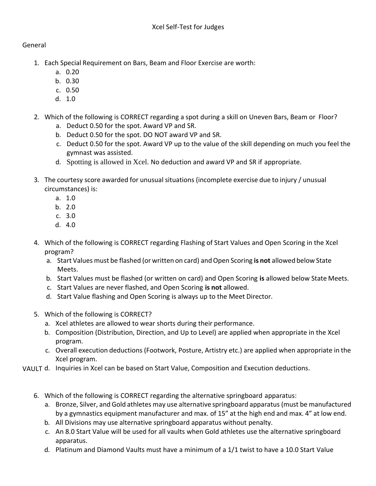## General

- 1. Each Special Requirement on Bars, Beam and Floor Exercise are worth:
	- a. 0.20
	- b. 0.30
	- c. 0.50
	- d. 1.0
- 2. Which of the following is CORRECT regarding a spot during a skill on Uneven Bars, Beam or Floor?
	- a. Deduct 0.50 for the spot. Award VP and SR.
	- b. Deduct 0.50 for the spot. DO NOT award VP and SR.
	- c. Deduct 0.50 for the spot. Award VP up to the value of the skill depending on much you feel the gymnast was assisted.
	- d. Spotting is allowed in Xcel. No deduction and award VP and SR if appropriate.
- 3. The courtesy score awarded for unusual situations (incomplete exercise due to injury / unusual circumstances) is:
	- a. 1.0
	- b. 2.0
	- c. 3.0
	- d. 4.0
- 4. Which of the following is CORRECT regarding Flashing of Start Values and Open Scoring in the Xcel program?
	- a. Start Values must be flashed (or written on card) and Open Scoring **is not** allowed below State Meets.
	- b. Start Values must be flashed (or written on card) and Open Scoring **is** allowed below State Meets.
	- c. Start Values are never flashed, and Open Scoring **is not** allowed.
	- d. Start Value flashing and Open Scoring is always up to the Meet Director.
- 5. Which of the following is CORRECT?
	- a. Xcel athletes are allowed to wear shorts during their performance.
	- b. Composition (Distribution, Direction, and Up to Level) are applied when appropriate in the Xcel program.
	- c. Overall execution deductions (Footwork, Posture, Artistry etc.) are applied when appropriate in the Xcel program.
- VAULT d. Inquiries in Xcel can be based on Start Value, Composition and Execution deductions.
	- 6. Which of the following is CORRECT regarding the alternative springboard apparatus:
		- a. Bronze, Silver, and Gold athletes may use alternative springboard apparatus (must be manufactured by a gymnastics equipment manufacturer and max. of 15" at the high end and max. 4" at low end.
		- b. All Divisions may use alternative springboard apparatus without penalty.
		- c. An 8.0 Start Value will be used for all vaults when Gold athletes use the alternative springboard apparatus.
		- d. Platinum and Diamond Vaults must have a minimum of a 1/1 twist to have a 10.0 Start Value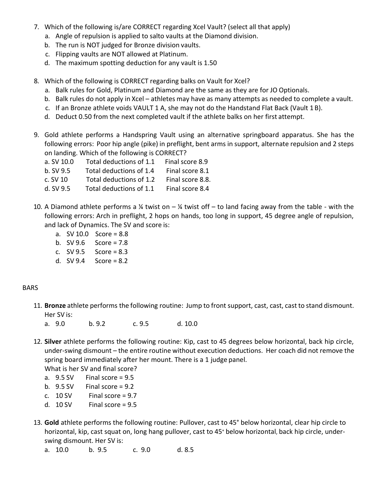- 7. Which of the following is/are CORRECT regarding Xcel Vault? (select all that apply)
	- a. Angle of repulsion is applied to salto vaults at the Diamond division.
	- b. The run is NOT judged for Bronze division vaults.
	- c. Flipping vaults are NOT allowed at Platinum.
	- d. The maximum spotting deduction for any vault is 1.50
- 8. Which of the following is CORRECT regarding balks on Vault for Xcel?
	- a. Balk rules for Gold, Platinum and Diamond are the same as they are for JO Optionals.
	- b. Balk rules do not apply in Xcel athletes may have as many attempts as needed to complete a vault.
	- c. If an Bronze athlete voids VAULT 1 A, she may not do the Handstand Flat Back (Vault 1 B).
	- d. Deduct 0.50 from the next completed vault if the athlete balks on her first attempt.
- 9. Gold athlete performs a Handspring Vault using an alternative springboard apparatus. She has the following errors: Poor hip angle (pike) in preflight, bent arms in support, alternate repulsion and 2 steps on landing. Which of the following is CORRECT?

| a. SV 10.0    | Total deductions of 1.1 | Final score 8.9  |
|---------------|-------------------------|------------------|
| $b.$ SV $9.5$ | Total deductions of 1.4 | Final score 8.1  |
| $c.$ SV 10    | Total deductions of 1.2 | Final score 8.8. |
| d. SV $9.5$   | Total deductions of 1.1 | Final score 8.4  |

- 10. A Diamond athlete performs a  $\frac{1}{4}$  twist on  $-\frac{1}{4}$  twist off to land facing away from the table with the following errors: Arch in preflight, 2 hops on hands, too long in support, 45 degree angle of repulsion, and lack of Dynamics. The SV and score is:
	- a. SV 10.0 Score = 8.8
	- b.  $SV 9.6$  Score = 7.8
	- c. SV 9.5 Score = 8.3
	- d.  $SV 9.4$  Score = 8.2

## BARS

- 11. **Bronze** athlete performs the following routine: Jump to front support, cast, cast, cast to stand dismount. Her SV is:
	- a. 9.0 b. 9.2 c. 9.5 d. 10.0
- 12. **Silver** athlete performs the following routine: Kip, cast to 45 degrees below horizontal, back hip circle, under-swing dismount – the entire routine without execution deductions. Her coach did not remove the spring board immediately after her mount. There is a 1 judge panel.
	- What is her SV and final score?
	- a.  $9.5$  SV Final score =  $9.5$
	- b.  $9.5$  SV Final score =  $9.2$
	- c.  $10 Sv$  Final score = 9.7
	- d.  $10$  SV Final score = 9.5
- 13. **Gold** athlete performs the following routine: Pullover, cast to 45° below horizontal, clear hip circle to horizontal, kip, cast squat on, long hang pullover, cast to 45° below horizontal, back hip circle, underswing dismount. Her SV is:
	- a. 10.0 b. 9.5 c. 9.0 d. 8.5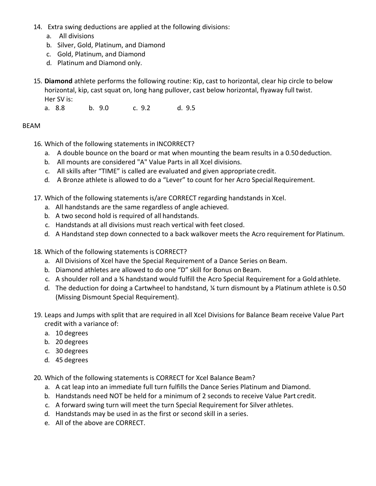- 14. Extra swing deductions are applied at the following divisions:
	- a. All divisions
	- b. Silver, Gold, Platinum, and Diamond
	- c. Gold, Platinum, and Diamond
	- d. Platinum and Diamond only.
- 15. **Diamond** athlete performs the following routine: Kip, cast to horizontal, clear hip circle to below horizontal, kip, cast squat on, long hang pullover, cast below horizontal, flyaway full twist. Her SV is:

a. 8.8 b. 9.0 c. 9.2 d. 9.5

## BEAM

- 16. Which of the following statements in INCORRECT?
	- a. A double bounce on the board or mat when mounting the beam results in a 0.50 deduction.
	- b. All mounts are considered "A" Value Parts in all Xcel divisions.
	- c. All skills after "TIME" is called are evaluated and given appropriate credit.
	- d. A Bronze athlete is allowed to do a "Lever" to count for her Acro Special Requirement.
- 17. Which of the following statements is/are CORRECT regarding handstands in Xcel.
	- a. All handstands are the same regardless of angle achieved.
	- b. A two second hold is required of all handstands.
	- c. Handstands at all divisions must reach vertical with feet closed.
	- d. A Handstand step down connected to a back walkover meets the Acro requirement for Platinum.
- 18. Which of the following statements is CORRECT?
	- a. All Divisions of Xcel have the Special Requirement of a Dance Series on Beam.
	- b. Diamond athletes are allowed to do one "D" skill for Bonus on Beam.
	- c. A shoulder roll and a ¾ handstand would fulfill the Acro Special Requirement for a Gold athlete.
	- d. The deduction for doing a Cartwheel to handstand, ¼ turn dismount by a Platinum athlete is 0.50 (Missing Dismount Special Requirement).
- 19. Leaps and Jumps with split that are required in all Xcel Divisions for Balance Beam receive Value Part credit with a variance of:
	- a. 10 degrees
	- b. 20 degrees
	- c. 30 degrees
	- d. 45 degrees

20. Which of the following statements is CORRECT for Xcel Balance Beam?

- a. A cat leap into an immediate full turn fulfills the Dance Series Platinum and Diamond.
- b. Handstands need NOT be held for a minimum of 2 seconds to receive Value Part credit.
- c. A forward swing turn will meet the turn Special Requirement for Silver athletes.
- d. Handstands may be used in as the first or second skill in a series.
- e. All of the above are CORRECT.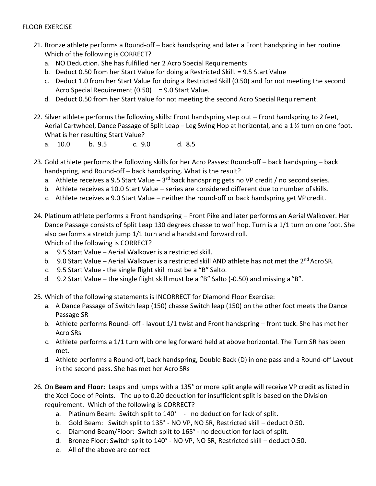## FLOOR EXERCISE

- 21. Bronze athlete performs a Round-off back handspring and later a Front handspring in her routine. Which of the following is CORRECT?
	- a. NO Deduction. She has fulfilled her 2 Acro Special Requirements
	- b. Deduct 0.50 from her Start Value for doing a Restricted Skill. = 9.5 Start Value
	- c. Deduct 1.0 from her Start Value for doing a Restricted Skill (0.50) and for not meeting the second Acro Special Requirement  $(0.50) = 9.0$  Start Value.
	- d. Deduct 0.50 from her Start Value for not meeting the second Acro Special Requirement.
- 22. Silver athlete performs the following skills: Front handspring step out Front handspring to 2 feet, Aerial Cartwheel, Dance Passage of Split Leap – Leg Swing Hop at horizontal, and a 1 ½ turn on one foot. What is her resulting Start Value?
	- a. 10.0 b. 9.5 c. 9.0 d. 8.5
- 23. Gold athlete performs the following skills for her Acro Passes: Round-off back handspring back handspring, and Round-off – back handspring. What is the result?
	- a. Athlete receives a 9.5 Start Value 3<sup>rd</sup> back handspring gets no VP credit / no second series.
	- b. Athlete receives a 10.0 Start Value series are considered different due to number of skills.
	- c. Athlete receives a 9.0 Start Value neither the round-off or back handspring get VP credit.
- 24. Platinum athlete performs a Front handspring Front Pike and later performs an Aerial Walkover. Her Dance Passage consists of Split Leap 130 degrees chasse to wolf hop. Turn is a 1/1 turn on one foot. She also performs a stretch jump 1/1 turn and a handstand forward roll. Which of the following is CORRECT?
	- a. 9.5 Start Value Aerial Walkover is a restricted skill.
	- b. 9.0 Start Value Aerial Walkover is a restricted skill AND athlete has not met the 2<sup>nd</sup> Acro SR.
	- c. 9.5 Start Value the single flight skill must be a "B" Salto.
	- d. 9.2 Start Value the single flight skill must be a "B" Salto (-0.50) and missing a "B".
- 25. Which of the following statements is INCORRECT for Diamond Floor Exercise:
	- a. A Dance Passage of Switch leap (150) chasse Switch leap (150) on the other foot meets the Dance Passage SR
	- b. Athlete performs Round- off layout 1/1 twist and Front handspring front tuck. She has met her Acro SRs
	- c. Athlete performs a 1/1 turn with one leg forward held at above horizontal. The Turn SR has been met.
	- d. Athlete performs a Round-off, back handspring, Double Back (D) in one pass and a Round-off Layout in the second pass. She has met her Acro SRs
- 26. On **Beam and Floor:** Leaps and jumps with a 135° or more split angle will receive VP credit as listed in the Xcel Code of Points. The up to 0.20 deduction for insufficient split is based on the Division requirement. Which of the following is CORRECT?
	- a. Platinum Beam: Switch split to 140° no deduction for lack of split.
	- b. Gold Beam: Switch split to 135° NO VP, NO SR, Restricted skill deduct 0.50.
	- c. Diamond Beam/Floor: Switch split to 165° no deduction for lack of split.
	- d. Bronze Floor: Switch split to 140° NO VP, NO SR, Restricted skill deduct 0.50.
	- e. All of the above are correct